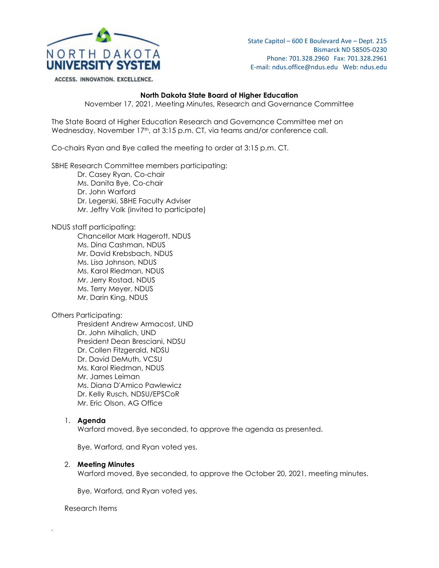

ACCESS. INNOVATION. EXCELLENCE.

State Capitol – 600 E Boulevard Ave – Dept. 215 Bismarck ND 58505-0230 Phone: 701.328.2960 Fax: 701.328.2961 E-mail: ndus.office@ndus.edu Web: ndus.edu

# **North Dakota State Board of Higher Education**

November 17, 2021, Meeting Minutes, Research and Governance Committee

The State Board of Higher Education Research and Governance Committee met on Wednesday, November 17<sup>th</sup>, at 3:15 p.m. CT, via teams and/or conference call.

Co-chairs Ryan and Bye called the meeting to order at 3:15 p.m. CT.

SBHE Research Committee members participating:

Dr. Casey Ryan, Co-chair Ms. Danita Bye, Co-chair Dr. John Warford Dr. Legerski, SBHE Faculty Adviser Mr. Jeffry Volk (invited to participate)

NDUS staff participating:

Chancellor Mark Hagerott, NDUS Ms. Dina Cashman, NDUS Mr. David Krebsbach, NDUS Ms. Lisa Johnson, NDUS Ms. Karol Riedman, NDUS Mr. Jerry Rostad, NDUS Ms. Terry Meyer, NDUS Mr. Darin King, NDUS

Others Participating:

President Andrew Armacost, UND Dr. John Mihalich, UND President Dean Bresciani, NDSU Dr. Collen Fitzgerald, NDSU Dr. David DeMuth, VCSU Ms. Karol Riedman, NDUS Mr. James Leiman Ms. Diana D'Amico Pawlewicz Dr. Kelly Rusch, NDSU/EPSCoR Mr. Eric Olson, AG Office

# 1. **Agenda**

Warford moved, Bye seconded, to approve the agenda as presented.

Bye, Warford, and Ryan voted yes.

### 2. **Meeting Minutes**

Warford moved, Bye seconded, to approve the October 20, 2021, meeting minutes.

Bye, Warford, and Ryan voted yes.

Research Items

*.*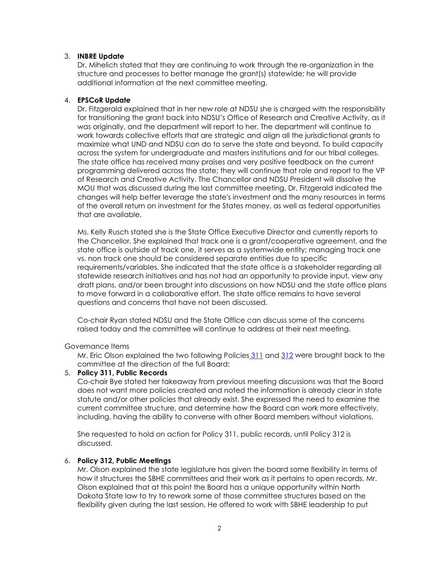## 3. **INBRE Update**

Dr. Mihelich stated that they are continuing to work through the re-organization in the structure and processes to better manage the grant(s) statewide; he will provide additional information at the next committee meeting.

### 4. **EPSCoR Update**

Dr. Fitzgerald explained that in her new role at NDSU she is charged with the responsibility for transitioning the grant back into NDSU's Office of Research and Creative Activity, as it was originally, and the department will report to her. The department will continue to work towards collective efforts that are strategic and align all the jurisdictional grants to maximize what UND and NDSU can do to serve the state and beyond. To build capacity across the system for undergraduate and masters institutions and for our tribal colleges. The state office has received many praises and very positive feedback on the current programming delivered across the state; they will continue that role and report to the VP of Research and Creative Activity. The Chancellor and NDSU President will dissolve the MOU that was discussed during the last committee meeting. Dr. Fitzgerald indicated the changes will help better leverage the state's investment and the many resources in terms of the overall return on investment for the States money, as well as federal opportunities that are available.

Ms. Kelly Rusch stated she is the State Office Executive Director and currently reports to the Chancellor. She explained that track one is a grant/cooperative agreement, and the state office is outside of track one, it serves as a systemwide entity; managing track one vs. non track one should be considered separate entities due to specific requirements/variables. She indicated that the state office is a stakeholder regarding all statewide research initiatives and has not had an opportunity to provide input, view any draft plans, and/or been brought into discussions on how NDSU and the state office plans to move forward in a collaborative effort. The state office remains to have several questions and concerns that have not been discussed.

Co-chair Ryan stated NDSU and the State Office can discuss some of the concerns raised today and the committee will continue to address at their next meeting.

### Governance Items

Mr. Eric Olson explained the two following Policies [311](https://ndusbpos.sharepoint.com/:b:/s/NDUSSBHE/Ec_XMeYf15tAtxNFG0R3DPYByYeHXWN9WaIuqerlEjiKEw?e=5wNi7n) and [312](https://ndusbpos.sharepoint.com/:b:/s/NDUSSBHE/EWXDBcBeWc1OhhZkwclTFmwBvHz-d3wODKrO2wOYEsBX0g?e=t6dbe3) were brought back to the committee at the direction of the full Board:

### 5. **Policy 311, Public Records**

Co-chair Bye stated her takeaway from previous meeting discussions was that the Board does not want more policies created and noted the information is already clear in state statute and/or other policies that already exist. She expressed the need to examine the current committee structure, and determine how the Board can work more effectively, including, having the ability to converse with other Board members without violations.

She requested to hold on action for Policy 311, public records, until Policy 312 is discussed.

# 6. **Policy 312, Public Meetings**

Mr. Olson explained the state legislature has given the board some flexibility in terms of how it structures the SBHE committees and their work as it pertains to open records. Mr. Olson explained that at this point the Board has a unique opportunity within North Dakota State law to try to rework some of those committee structures based on the flexibility given during the last session. He offered to work with SBHE leadership to put